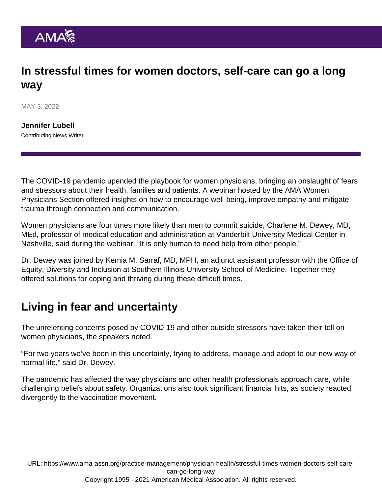## In stressful times for women doctors, self-care can go a long way

MAY 3, 2022

[Jennifer Lubell](https://www.ama-assn.org/news-leadership-viewpoints/authors-news-leadership-viewpoints/jennifer-lubell) Contributing News Writer

The COVID-19 pandemic upended the playbook for women physicians, bringing an onslaught of fears and stressors about their health, families and patients. A webinar hosted by the [AMA Women](https://www.ama-assn.org/member-groups-sections/women-physicians) [Physicians Section](https://www.ama-assn.org/member-groups-sections/women-physicians) offered insights on how to encourage well-being, improve empathy and mitigate trauma through connection and communication.

Women physicians are four times more likely than men to commit suicide, Charlene M. Dewey, MD, MEd, professor of medical education and administration at Vanderbilt University Medical Center in Nashville, said during the webinar. "It is only human to need help from other people."

Dr. Dewey was joined by Kemia M. Sarraf, MD, MPH, an adjunct assistant professor with the Office of Equity, Diversity and Inclusion at Southern Illinois University School of Medicine. Together they offered solutions for coping and thriving during these difficult times.

## Living in fear and uncertainty

The unrelenting concerns posed by COVID-19 and other outside stressors have taken their toll on women physicians, the speakers noted.

"For two years we've been in this uncertainty, trying to address, manage and adopt to our new way of normal life," said Dr. Dewey.

The pandemic has affected the way physicians and other health professionals approach care, while challenging beliefs about safety. Organizations also took significant financial hits, as society reacted divergently to the vaccination movement.

URL: [https://www.ama-assn.org/practice-management/physician-health/stressful-times-women-doctors-self-care](https://www.ama-assn.org/practice-management/physician-health/stressful-times-women-doctors-self-care-can-go-long-way)[can-go-long-way](https://www.ama-assn.org/practice-management/physician-health/stressful-times-women-doctors-self-care-can-go-long-way) Copyright 1995 - 2021 American Medical Association. All rights reserved.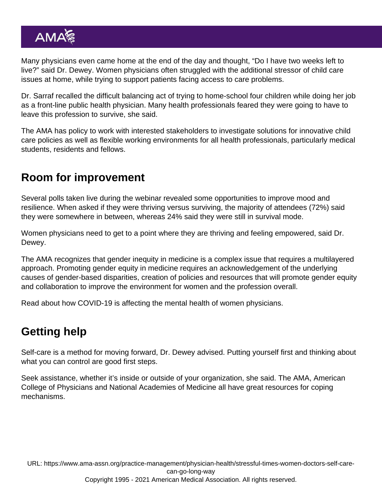Many physicians even came home at the end of the day and thought, "Do I have two weeks left to live?" said Dr. Dewey. Women physicians often struggled with the additional stressor of child care issues at home, while trying to support patients facing access to care problems.

Dr. Sarraf recalled the difficult balancing act of trying to home-school four children while doing her job as a front-line public health physician. Many health professionals feared they were going to have to leave this profession to survive, she said.

The AMA has policy to work with interested stakeholders to investigate solutions for innovative [child](https://policysearch.ama-assn.org/policyfinder/detail/childcare?uri=/AMADoc/directives.xml-D-200.974.xml) [care policies](https://policysearch.ama-assn.org/policyfinder/detail/childcare?uri=/AMADoc/directives.xml-D-200.974.xml) as well as flexible working environments for all health professionals, particularly medical students, residents and fellows.

## Room for improvement

Several polls taken live during the webinar revealed some opportunities to improve mood and resilience. When asked if they were thriving versus surviving, the majority of attendees (72%) said they were somewhere in between, whereas 24% said they were still in survival mode.

Women physicians need to get to a point where they are thriving and feeling empowered, said Dr. Dewey.

The AMA recognizes that gender inequity in medicine is a complex issue that requires a multilayered approach. Promoting [gender equity in medicine](https://www.ama-assn.org/delivering-care/health-equity/advancing-gender-equity-medicine-resources-physicians) requires an acknowledgement of the underlying causes of gender-based disparities, creation of policies and resources that will promote gender equity and collaboration to improve the environment for women and the profession overall.

Read about [how COVID-19 is affecting the mental health of women physicians.](https://www.ama-assn.org/practice-management/physician-health/how-covid-19-s-affecting-mental-health-women-physicians)

## Getting help

Self-care is a method for moving forward, Dr. Dewey advised. Putting yourself first and thinking about what you can control are good first steps.

Seek assistance, whether it's inside or outside of your organization, she said. The AMA, American College of Physicians and National Academies of Medicine all have great resources for coping mechanisms.

URL: [https://www.ama-assn.org/practice-management/physician-health/stressful-times-women-doctors-self-care](https://www.ama-assn.org/practice-management/physician-health/stressful-times-women-doctors-self-care-can-go-long-way)[can-go-long-way](https://www.ama-assn.org/practice-management/physician-health/stressful-times-women-doctors-self-care-can-go-long-way) Copyright 1995 - 2021 American Medical Association. All rights reserved.